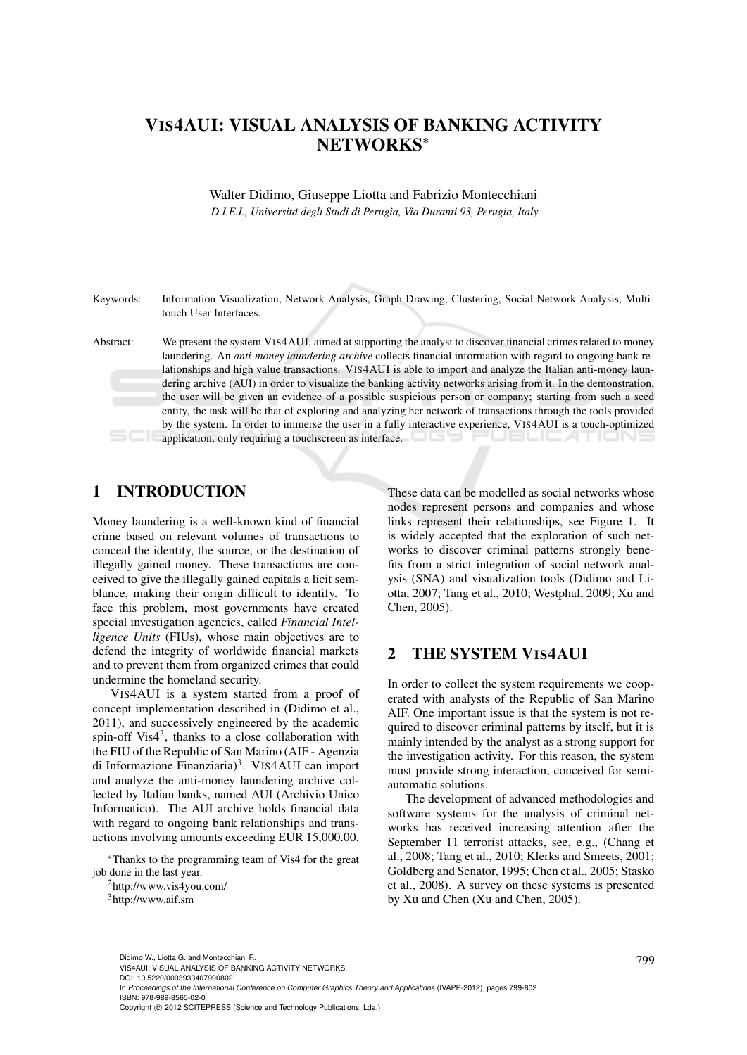# VIS4AUI: VISUAL ANALYSIS OF BANKING ACTIVITY NETWORKS<sup>∗</sup>

Walter Didimo, Giuseppe Liotta and Fabrizio Montecchiani *D.I.E.I., Universita degli Studi di Perugia, Via Duranti 93, Perugia, Italy ´*

Keywords: Information Visualization, Network Analysis, Graph Drawing, Clustering, Social Network Analysis, Multitouch User Interfaces.

Abstract: We present the system VIS4AUI, aimed at supporting the analyst to discover financial crimes related to money laundering. An *anti-money laundering archive* collects financial information with regard to ongoing bank relationships and high value transactions. VIS4AUI is able to import and analyze the Italian anti-money laundering archive (AUI) in order to visualize the banking activity networks arising from it. In the demonstration, the user will be given an evidence of a possible suspicious person or company; starting from such a seed entity, the task will be that of exploring and analyzing her network of transactions through the tools provided by the system. In order to immerse the user in a fully interactive experience, VIS4AUI is a touch-optimized application, only requiring a touchscreen as interface.

# 1 INTRODUCTION

Money laundering is a well-known kind of financial crime based on relevant volumes of transactions to conceal the identity, the source, or the destination of illegally gained money. These transactions are conceived to give the illegally gained capitals a licit semblance, making their origin difficult to identify. To face this problem, most governments have created special investigation agencies, called *Financial Intelligence Units* (FIUs), whose main objectives are to defend the integrity of worldwide financial markets and to prevent them from organized crimes that could undermine the homeland security.

VIS4AUI is a system started from a proof of concept implementation described in (Didimo et al., 2011), and successively engineered by the academic spin-off Vis4<sup>2</sup>, thanks to a close collaboration with the FIU of the Republic of San Marino (AIF - Agenzia di Informazione Finanziaria)<sup>3</sup>. VIS4AUI can import and analyze the anti-money laundering archive collected by Italian banks, named AUI (Archivio Unico Informatico). The AUI archive holds financial data with regard to ongoing bank relationships and transactions involving amounts exceeding EUR 15,000.00.

These data can be modelled as social networks whose nodes represent persons and companies and whose links represent their relationships, see Figure 1. It is widely accepted that the exploration of such networks to discover criminal patterns strongly benefits from a strict integration of social network analysis (SNA) and visualization tools (Didimo and Liotta, 2007; Tang et al., 2010; Westphal, 2009; Xu and Chen, 2005).

## 2 THE SYSTEM VIS4AUI

In order to collect the system requirements we cooperated with analysts of the Republic of San Marino AIF. One important issue is that the system is not required to discover criminal patterns by itself, but it is mainly intended by the analyst as a strong support for the investigation activity. For this reason, the system must provide strong interaction, conceived for semiautomatic solutions.

The development of advanced methodologies and software systems for the analysis of criminal networks has received increasing attention after the September 11 terrorist attacks, see, e.g., (Chang et al., 2008; Tang et al., 2010; Klerks and Smeets, 2001; Goldberg and Senator, 1995; Chen et al., 2005; Stasko et al., 2008). A survey on these systems is presented by Xu and Chen (Xu and Chen, 2005).

In *Proceedings of the International Conference on Computer Graphics Theory and Applications* (IVAPP-2012), pages 799-802 ISBN: 978-989-8565-02-0

<sup>∗</sup>Thanks to the programming team of Vis4 for the great job done in the last year.

<sup>2</sup>http://www.vis4you.com/

<sup>3</sup>http://www.aif.sm

<sup>799</sup> Didimo W., Liotta G. and Montecchiani F.. VIS4AUI: VISUAL ANALYSIS OF BANKING ACTIVITY NETWORKS.

DOI: 10.5220/0003933407990802

Copyright © 2012 SCITEPRESS (Science and Technology Publications, Lda.)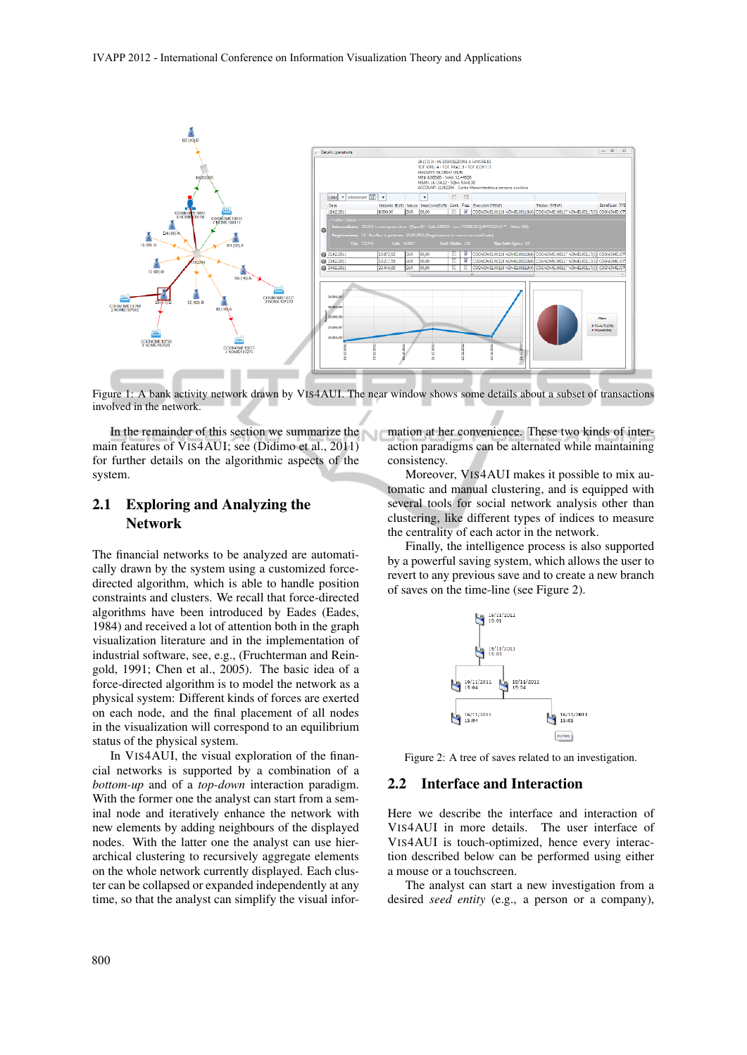

Figure 1: A bank activity network drawn by VIS4AUI. The near window shows some details about a subset of transactions involved in the network.

In the remainder of this section we summarize the mation at her convenience. These two kinds of intermain features of VIS4AUI; see (Didimo et al., 2011) for further details on the algorithmic aspects of the system.

### 2.1 Exploring and Analyzing the Network

The financial networks to be analyzed are automatically drawn by the system using a customized forcedirected algorithm, which is able to handle position constraints and clusters. We recall that force-directed algorithms have been introduced by Eades (Eades, 1984) and received a lot of attention both in the graph visualization literature and in the implementation of industrial software, see, e.g., (Fruchterman and Reingold, 1991; Chen et al., 2005). The basic idea of a force-directed algorithm is to model the network as a physical system: Different kinds of forces are exerted on each node, and the final placement of all nodes in the visualization will correspond to an equilibrium status of the physical system.

In VIS4AUI, the visual exploration of the financial networks is supported by a combination of a *bottom-up* and of a *top-down* interaction paradigm. With the former one the analyst can start from a seminal node and iteratively enhance the network with new elements by adding neighbours of the displayed nodes. With the latter one the analyst can use hierarchical clustering to recursively aggregate elements on the whole network currently displayed. Each cluster can be collapsed or expanded independently at any time, so that the analyst can simplify the visual inforaction paradigms can be alternated while maintaining consistency.

Moreover, VIS4AUI makes it possible to mix automatic and manual clustering, and is equipped with several tools for social network analysis other than clustering, like different types of indices to measure the centrality of each actor in the network.

Finally, the intelligence process is also supported by a powerful saving system, which allows the user to revert to any previous save and to create a new branch of saves on the time-line (see Figure 2).



Figure 2: A tree of saves related to an investigation.

#### 2.2 Interface and Interaction

Here we describe the interface and interaction of VIS4AUI in more details. The user interface of VIS4AUI is touch-optimized, hence every interaction described below can be performed using either a mouse or a touchscreen.

The analyst can start a new investigation from a desired *seed entity* (e.g., a person or a company),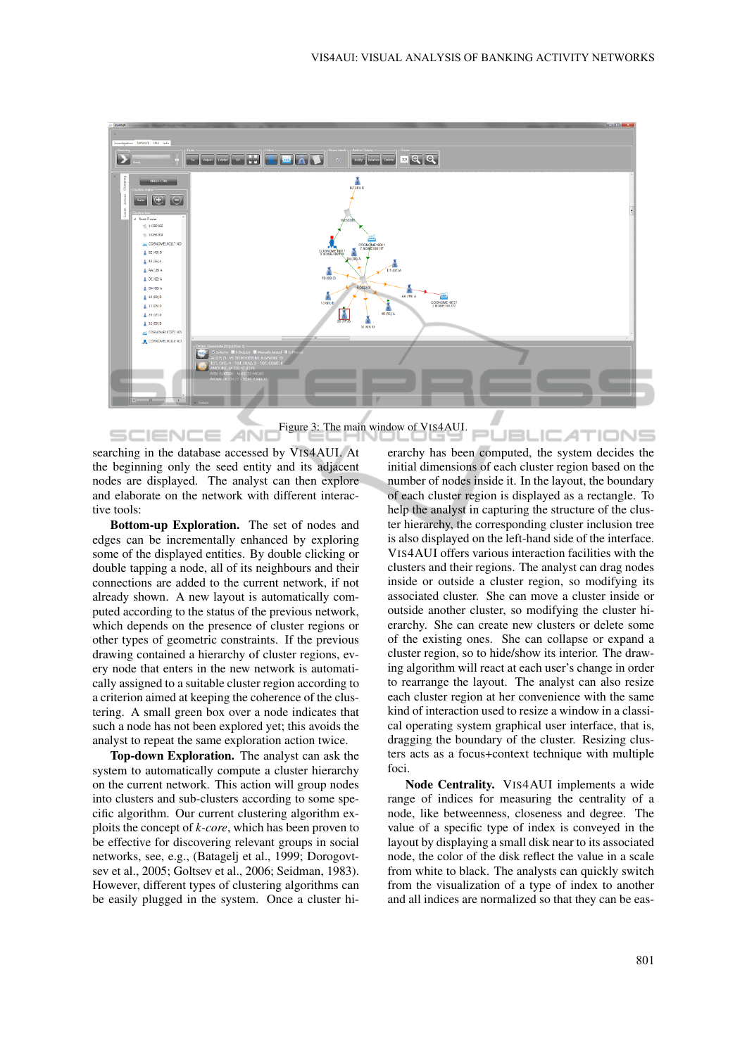

Figure 3: The main window of VIS4AUI.

searching in the database accessed by VIS4AUI. At the beginning only the seed entity and its adjacent nodes are displayed. The analyst can then explore and elaborate on the network with different interactive tools:

AN.

SCIENCE

Bottom-up Exploration. The set of nodes and edges can be incrementally enhanced by exploring some of the displayed entities. By double clicking or double tapping a node, all of its neighbours and their connections are added to the current network, if not already shown. A new layout is automatically computed according to the status of the previous network, which depends on the presence of cluster regions or other types of geometric constraints. If the previous drawing contained a hierarchy of cluster regions, every node that enters in the new network is automatically assigned to a suitable cluster region according to a criterion aimed at keeping the coherence of the clustering. A small green box over a node indicates that such a node has not been explored yet; this avoids the analyst to repeat the same exploration action twice.

Top-down Exploration. The analyst can ask the system to automatically compute a cluster hierarchy on the current network. This action will group nodes into clusters and sub-clusters according to some specific algorithm. Our current clustering algorithm exploits the concept of *k-core*, which has been proven to be effective for discovering relevant groups in social networks, see, e.g., (Batagelj et al., 1999; Dorogovtsev et al., 2005; Goltsev et al., 2006; Seidman, 1983). However, different types of clustering algorithms can be easily plugged in the system. Once a cluster hi-

JBL ATIONS erarchy has been computed, the system decides the initial dimensions of each cluster region based on the number of nodes inside it. In the layout, the boundary of each cluster region is displayed as a rectangle. To help the analyst in capturing the structure of the cluster hierarchy, the corresponding cluster inclusion tree is also displayed on the left-hand side of the interface. VIS4AUI offers various interaction facilities with the clusters and their regions. The analyst can drag nodes inside or outside a cluster region, so modifying its associated cluster. She can move a cluster inside or outside another cluster, so modifying the cluster hierarchy. She can create new clusters or delete some of the existing ones. She can collapse or expand a cluster region, so to hide/show its interior. The drawing algorithm will react at each user's change in order to rearrange the layout. The analyst can also resize each cluster region at her convenience with the same kind of interaction used to resize a window in a classical operating system graphical user interface, that is, dragging the boundary of the cluster. Resizing clusters acts as a focus+context technique with multiple foci.

 $\sqrt{2}$ 

Node Centrality. VIS4AUI implements a wide range of indices for measuring the centrality of a node, like betweenness, closeness and degree. The value of a specific type of index is conveyed in the layout by displaying a small disk near to its associated node, the color of the disk reflect the value in a scale from white to black. The analysts can quickly switch from the visualization of a type of index to another and all indices are normalized so that they can be eas-